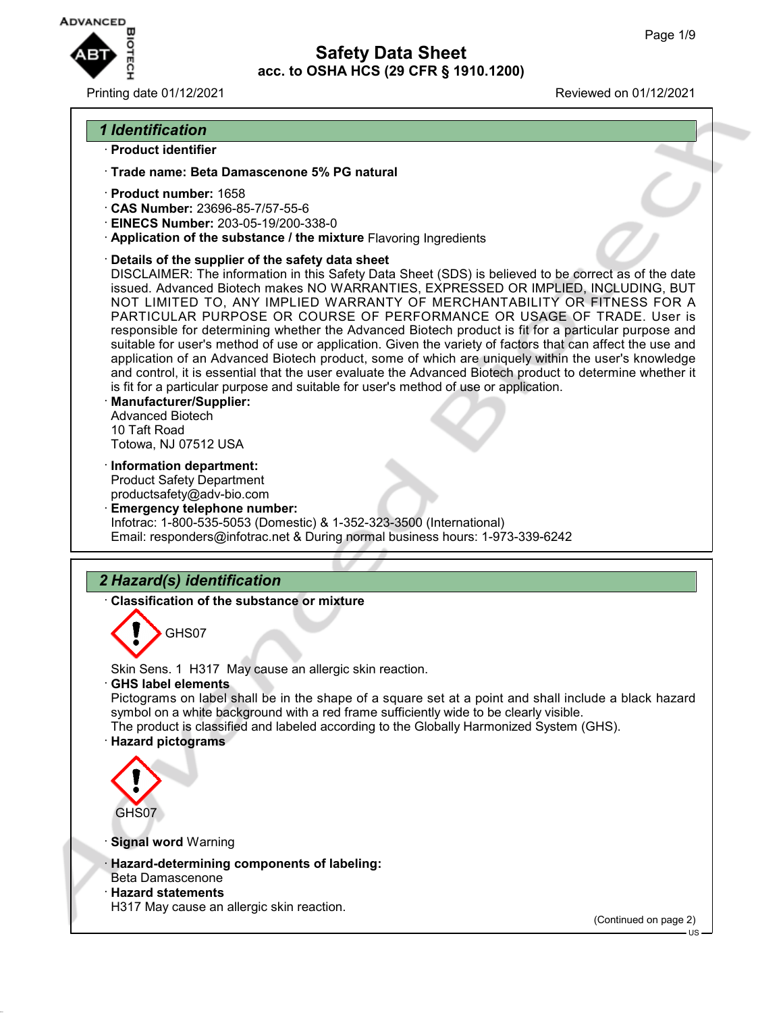

## Printing date 01/12/2021 Reviewed on 01/12/2021

# *1 Identification*

- · **Product identifier**
- · **Trade name: Beta Damascenone 5% PG natural**
- · **Product number:** 1658
- · **CAS Number:** 23696-85-7/57-55-6
- · **EINECS Number:** 203-05-19/200-338-0
- · **Application of the substance / the mixture** Flavoring Ingredients
- · **Details of the supplier of the safety data sheet**

DISCLAIMER: The information in this Safety Data Sheet (SDS) is believed to be correct as of the date issued. Advanced Biotech makes NO WARRANTIES, EXPRESSED OR IMPLIED, INCLUDING, BUT NOT LIMITED TO, ANY IMPLIED WARRANTY OF MERCHANTABILITY OR FITNESS FOR A PARTICULAR PURPOSE OR COURSE OF PERFORMANCE OR USAGE OF TRADE. User is responsible for determining whether the Advanced Biotech product is fit for a particular purpose and suitable for user's method of use or application. Given the variety of factors that can affect the use and application of an Advanced Biotech product, some of which are uniquely within the user's knowledge and control, it is essential that the user evaluate the Advanced Biotech product to determine whether it is fit for a particular purpose and suitable for user's method of use or application.

- · **Manufacturer/Supplier:** Advanced Biotech 10 Taft Road Totowa, NJ 07512 USA
- · **Information department:**

Product Safety Department productsafety@adv-bio.com

· **Emergency telephone number:** Infotrac: 1-800-535-5053 (Domestic) & 1-352-323-3500 (International) Email: responders@infotrac.net & During normal business hours: 1-973-339-6242

# *2 Hazard(s) identification*

· **Classification of the substance or mixture**



Skin Sens. 1 H317 May cause an allergic skin reaction.

· **GHS label elements**

Pictograms on label shall be in the shape of a square set at a point and shall include a black hazard symbol on a white background with a red frame sufficiently wide to be clearly visible. The product is classified and labeled according to the Globally Harmonized System (GHS). · **Hazard pictograms**



· **Signal word** Warning

- · **Hazard-determining components of labeling:**
- Beta Damascenone
- · **Hazard statements**

H317 May cause an allergic skin reaction.

(Continued on page 2)

US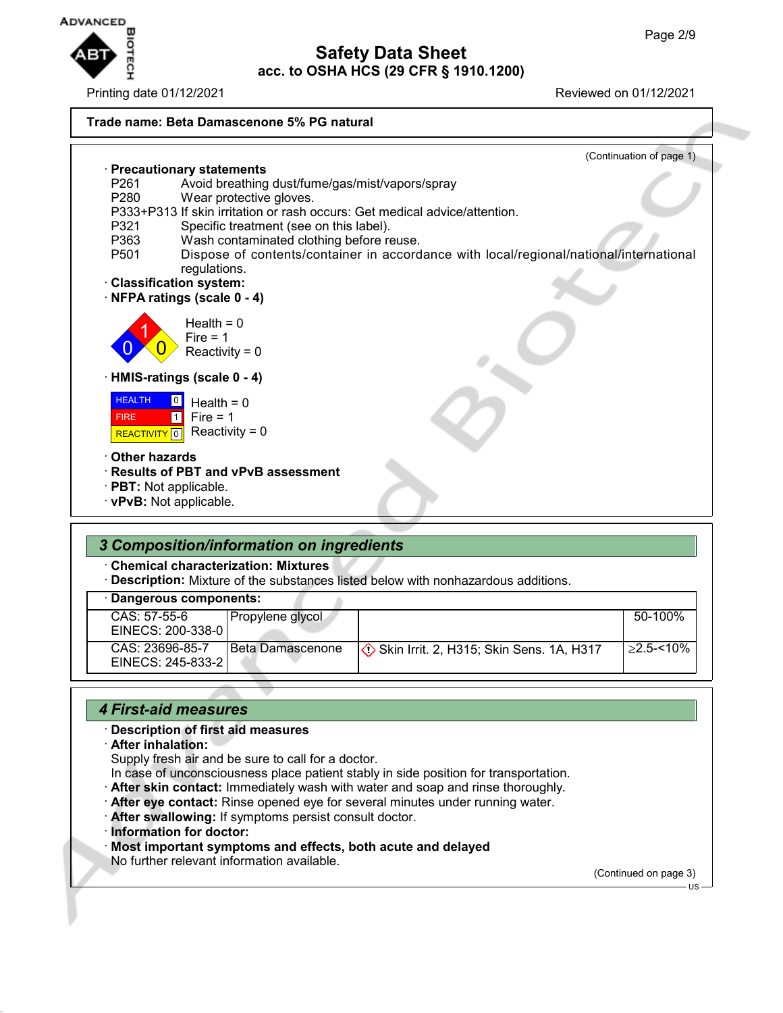

Printing date 01/12/2021 Reviewed on 01/12/2021

### **Trade name: Beta Damascenone 5% PG natural**

|                     | (Continuation of page 1)                                                               |
|---------------------|----------------------------------------------------------------------------------------|
|                     | · Precautionary statements                                                             |
| P <sub>261</sub>    | Avoid breathing dust/fume/gas/mist/vapors/spray                                        |
| P <sub>280</sub>    | Wear protective gloves.                                                                |
|                     | P333+P313 If skin irritation or rash occurs: Get medical advice/attention.             |
| P321                | Specific treatment (see on this label).                                                |
| P363                | Wash contaminated clothing before reuse.                                               |
| P <sub>501</sub>    | Dispose of contents/container in accordance with local/regional/national/international |
|                     | regulations.                                                                           |
|                     | · Classification system:<br>NFPA ratings (scale 0 - 4)                                 |
|                     |                                                                                        |
|                     | Health = $0$                                                                           |
|                     | Fire $= 1$                                                                             |
|                     | Reactivity = $0$                                                                       |
|                     |                                                                                        |
|                     | · HMIS-ratings (scale 0 - 4)                                                           |
| <b>HEALTH</b>       | $\boxed{0}$<br>Health = $0$                                                            |
| <b>FIRE</b>         | Fire $= 1$<br>$\Box$                                                                   |
| <b>REACTIVITY</b> 0 | Reactivity = $0$                                                                       |
|                     |                                                                                        |
| Other hazards       |                                                                                        |
|                     | · Results of PBT and vPvB assessment                                                   |
|                     | $\cdot$ PBT: Not applicable.                                                           |
|                     | · vPvB: Not applicable.                                                                |
|                     |                                                                                        |

## *3 Composition/information on ingredients*

· **Chemical characterization: Mixtures**

· **Description:** Mixture of the substances listed below with nonhazardous additions.

|  |  |  | · Dangerous components: |  |
|--|--|--|-------------------------|--|
|--|--|--|-------------------------|--|

| - - - - - - - - - - - - - - - - - - |                  |                                                                  |               |
|-------------------------------------|------------------|------------------------------------------------------------------|---------------|
| CAS: 57-55-6                        | Propylene glycol |                                                                  | 50-100%       |
| EINECS: 200-338-0                   |                  |                                                                  |               |
| CAS: 23696-85-7                     | Beta Damascenone | $\langle \cdot \rangle$ Skin Irrit. 2, H315; Skin Sens. 1A, H317 | $>2.5 - 10\%$ |
| EINECS: 245-833-21                  |                  |                                                                  |               |
|                                     |                  |                                                                  |               |

## *4 First-aid measures*

### · **Description of first aid measures**

· **After inhalation:**

Supply fresh air and be sure to call for a doctor.

In case of unconsciousness place patient stably in side position for transportation.

- · **After skin contact:** Immediately wash with water and soap and rinse thoroughly.
- · **After eye contact:** Rinse opened eye for several minutes under running water.
- · **After swallowing:** If symptoms persist consult doctor.
- · **Information for doctor:**
- · **Most important symptoms and effects, both acute and delayed**
- No further relevant information available.

(Continued on page 3)

 $\overline{1}$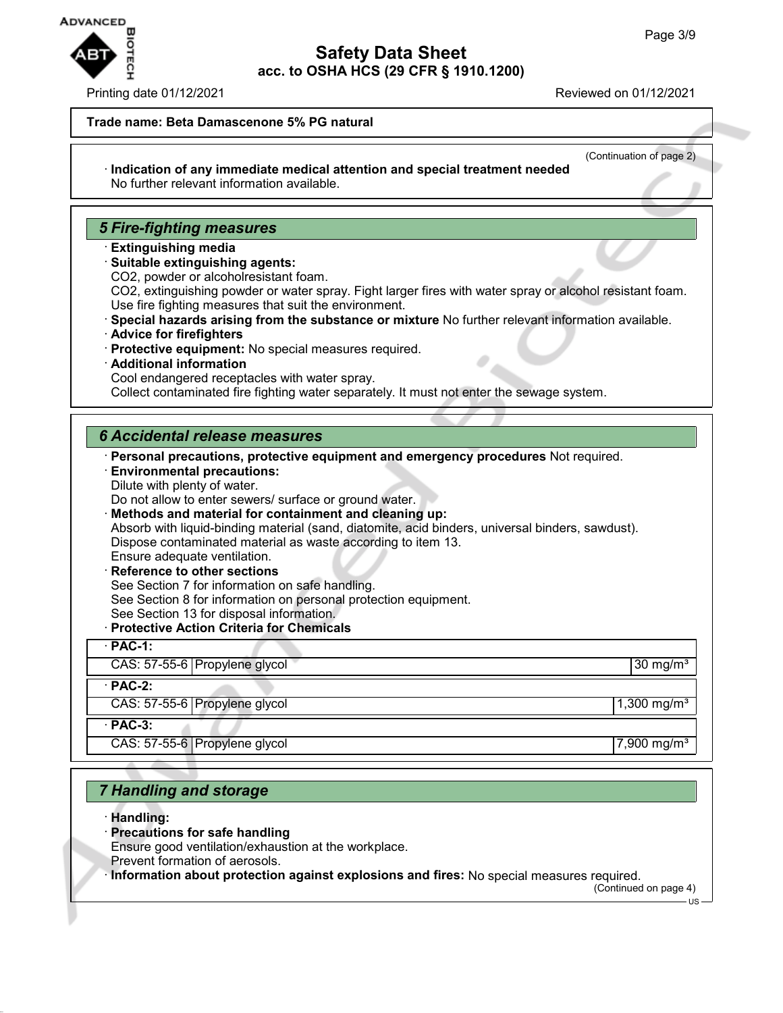

### Printing date 01/12/2021 Reviewed on 01/12/2021

## **Trade name: Beta Damascenone 5% PG natural**

(Continuation of page 2) · **Indication of any immediate medical attention and special treatment needed** No further relevant information available.

## *5 Fire-fighting measures*

- · **Extinguishing media**
- · **Suitable extinguishing agents:**
- CO2, powder or alcoholresistant foam.

CO2, extinguishing powder or water spray. Fight larger fires with water spray or alcohol resistant foam. Use fire fighting measures that suit the environment.

- · **Special hazards arising from the substance or mixture** No further relevant information available.
- · **Advice for firefighters**
- · **Protective equipment:** No special measures required.
- · **Additional information**
- Cool endangered receptacles with water spray.

Collect contaminated fire fighting water separately. It must not enter the sewage system.

## *6 Accidental release measures*

· **Personal precautions, protective equipment and emergency procedures** Not required.

· **Environmental precautions:** Dilute with plenty of water.

Do not allow to enter sewers/ surface or ground water.

· **Methods and material for containment and cleaning up:**

Absorb with liquid-binding material (sand, diatomite, acid binders, universal binders, sawdust). Dispose contaminated material as waste according to item 13.

#### Ensure adequate ventilation.

- · **Reference to other sections** See Section 7 for information on safe handling. See Section 8 for information on personal protection equipment. See Section 13 for disposal information.
- · **Protective Action Criteria for Chemicals**

| $\cdot$ PAC-1:                |                         |
|-------------------------------|-------------------------|
| CAS: 57-55-6 Propylene glycol | 30 mg/m <sup>3</sup>    |
| $\cdot$ PAC-2:                |                         |
| CAS: 57-55-6 Propylene glycol | 1,300 mg/m <sup>3</sup> |
| $PAC-3$ :                     |                         |
| CAS: 57-55-6 Propylene glycol | 7,900 mg/m <sup>3</sup> |

## *7 Handling and storage*

- · **Handling:**
- · **Precautions for safe handling**
- Ensure good ventilation/exhaustion at the workplace.
- Prevent formation of aerosols.

· **Information about protection against explosions and fires:** No special measures required.

(Continued on page 4)

US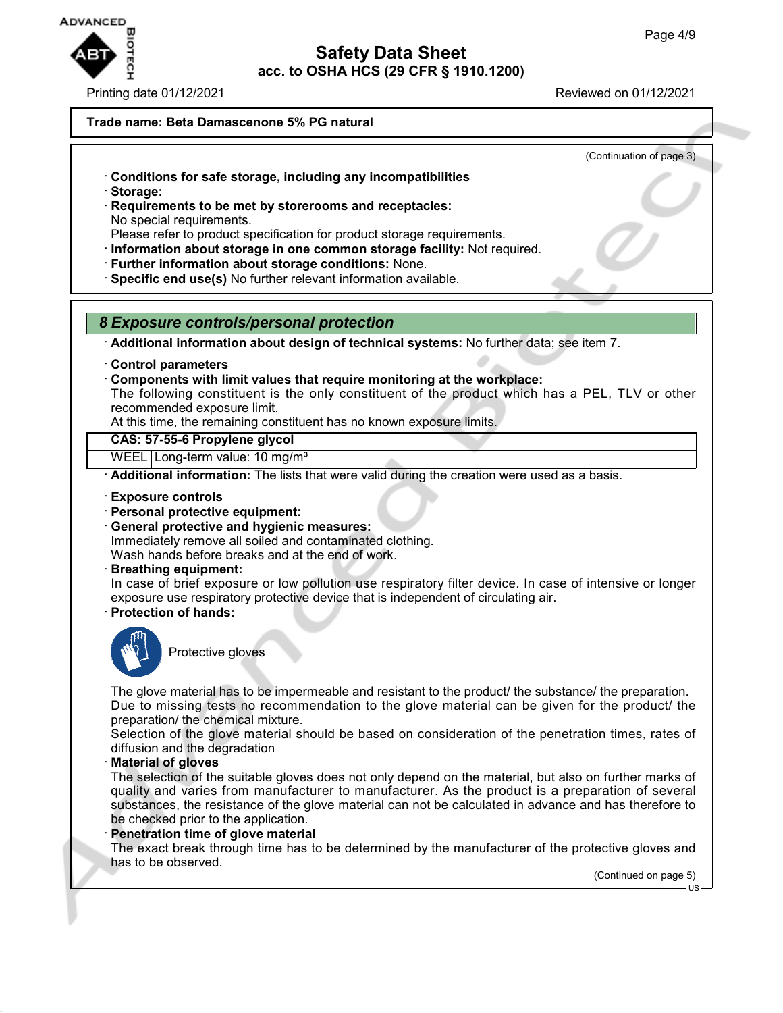

Printing date 01/12/2021 Reviewed on 01/12/2021

## **Trade name: Beta Damascenone 5% PG natural**

(Continuation of page 3)

- · **Conditions for safe storage, including any incompatibilities**
- · **Storage:**
- · **Requirements to be met by storerooms and receptacles:** No special requirements.
- Please refer to product specification for product storage requirements.
- · **Information about storage in one common storage facility:** Not required.
- · **Further information about storage conditions:** None.
- · **Specific end use(s)** No further relevant information available.

## *8 Exposure controls/personal protection*

· **Additional information about design of technical systems:** No further data; see item 7.

- · **Control parameters**
- · **Components with limit values that require monitoring at the workplace:**

The following constituent is the only constituent of the product which has a PEL, TLV or other recommended exposure limit.

At this time, the remaining constituent has no known exposure limits.

### **CAS: 57-55-6 Propylene glycol**

WEEL | Long-term value: 10 mg/m<sup>3</sup>

· **Additional information:** The lists that were valid during the creation were used as a basis.

- · **Exposure controls**
- · **Personal protective equipment:**
- · **General protective and hygienic measures:**

Immediately remove all soiled and contaminated clothing.

Wash hands before breaks and at the end of work.

· **Breathing equipment:**

In case of brief exposure or low pollution use respiratory filter device. In case of intensive or longer exposure use respiratory protective device that is independent of circulating air.

· **Protection of hands:**



Protective gloves

The glove material has to be impermeable and resistant to the product/ the substance/ the preparation. Due to missing tests no recommendation to the glove material can be given for the product/ the preparation/ the chemical mixture.

Selection of the glove material should be based on consideration of the penetration times, rates of diffusion and the degradation

## · **Material of gloves**

The selection of the suitable gloves does not only depend on the material, but also on further marks of quality and varies from manufacturer to manufacturer. As the product is a preparation of several substances, the resistance of the glove material can not be calculated in advance and has therefore to be checked prior to the application.

### **Penetration time of glove material**

The exact break through time has to be determined by the manufacturer of the protective gloves and has to be observed.

(Continued on page 5)

US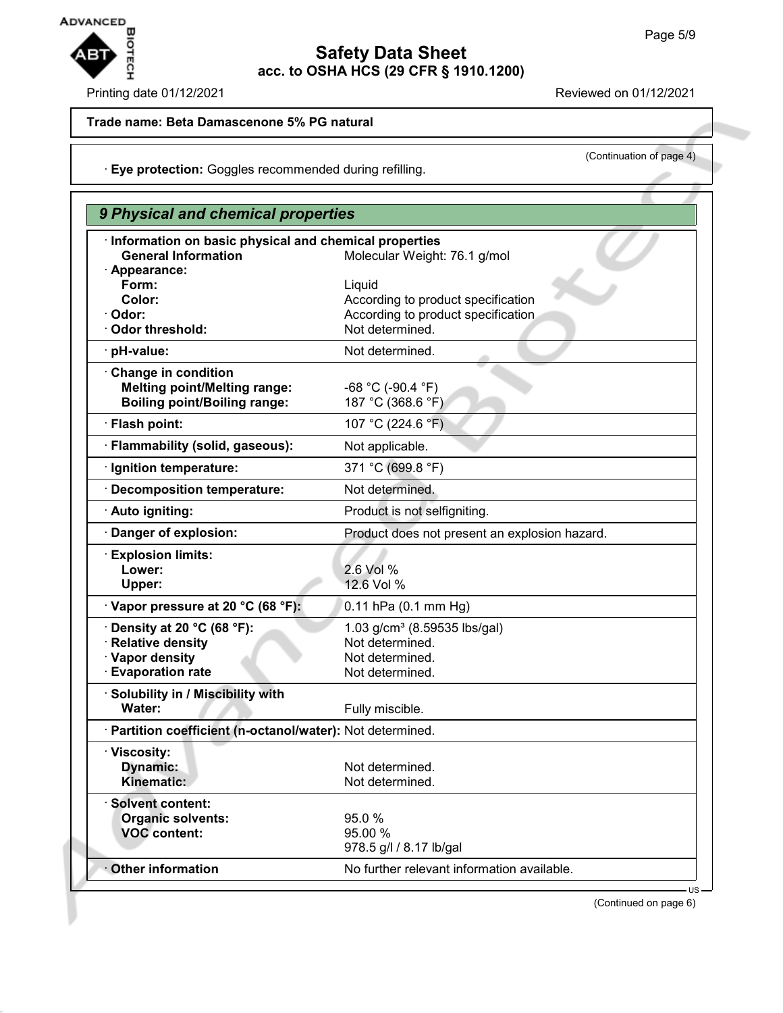

## Printing date 01/12/2021 **Reviewed on 01/12/2021**

(Continuation of page 4)

## **Trade name: Beta Damascenone 5% PG natural**

· **Eye protection:** Goggles recommended during refilling.

| · Information on basic physical and chemical properties<br><b>General Information</b><br>Molecular Weight: 76.1 g/mol<br>· Appearance:<br>Form:<br>Liquid<br>Color:<br>According to product specification<br>According to product specification<br>Odor:<br>Not determined.<br><b>Odor threshold:</b><br>Not determined.<br>· pH-value:<br>Change in condition<br><b>Melting point/Melting range:</b><br>$-68 °C (-90.4 °F)$<br>187 °C (368.6 °F)<br><b>Boiling point/Boiling range:</b><br>· Flash point:<br>107 °C (224.6 °F)<br>· Flammability (solid, gaseous):<br>Not applicable.<br>371 °C (699.8 °F)<br>Ignition temperature:<br>Not determined.<br>· Decomposition temperature:<br>· Auto igniting:<br>Product is not selfigniting.<br>Danger of explosion:<br>Product does not present an explosion hazard.<br><b>Explosion limits:</b><br>2.6 Vol %<br>Lower:<br>12.6 Vol %<br>Upper:<br>· Vapor pressure at 20 °C (68 °F):<br>$0.11$ hPa $(0.1$ mm Hg)<br>$\cdot$ Density at 20 °C (68 °F):<br>1.03 g/cm <sup>3</sup> (8.59535 lbs/gal)<br><b>Relative density</b><br>Not determined.<br>· Vapor density<br>Not determined.<br><b>Evaporation rate</b><br>Not determined.<br>Solubility in / Miscibility with<br>Water:<br>Fully miscible.<br>· Partition coefficient (n-octanol/water): Not determined.<br>· Viscosity:<br>Dynamic:<br>Not determined.<br>Not determined.<br>Kinematic:<br><b>Solvent content:</b><br>Organic solvents:<br>95.0%<br>95.00 %<br><b>VOC content:</b> | 9 Physical and chemical properties |                         |  |
|------------------------------------------------------------------------------------------------------------------------------------------------------------------------------------------------------------------------------------------------------------------------------------------------------------------------------------------------------------------------------------------------------------------------------------------------------------------------------------------------------------------------------------------------------------------------------------------------------------------------------------------------------------------------------------------------------------------------------------------------------------------------------------------------------------------------------------------------------------------------------------------------------------------------------------------------------------------------------------------------------------------------------------------------------------------------------------------------------------------------------------------------------------------------------------------------------------------------------------------------------------------------------------------------------------------------------------------------------------------------------------------------------------------------------------------------------------------------------------------------|------------------------------------|-------------------------|--|
|                                                                                                                                                                                                                                                                                                                                                                                                                                                                                                                                                                                                                                                                                                                                                                                                                                                                                                                                                                                                                                                                                                                                                                                                                                                                                                                                                                                                                                                                                                |                                    |                         |  |
|                                                                                                                                                                                                                                                                                                                                                                                                                                                                                                                                                                                                                                                                                                                                                                                                                                                                                                                                                                                                                                                                                                                                                                                                                                                                                                                                                                                                                                                                                                |                                    |                         |  |
|                                                                                                                                                                                                                                                                                                                                                                                                                                                                                                                                                                                                                                                                                                                                                                                                                                                                                                                                                                                                                                                                                                                                                                                                                                                                                                                                                                                                                                                                                                |                                    |                         |  |
|                                                                                                                                                                                                                                                                                                                                                                                                                                                                                                                                                                                                                                                                                                                                                                                                                                                                                                                                                                                                                                                                                                                                                                                                                                                                                                                                                                                                                                                                                                |                                    |                         |  |
|                                                                                                                                                                                                                                                                                                                                                                                                                                                                                                                                                                                                                                                                                                                                                                                                                                                                                                                                                                                                                                                                                                                                                                                                                                                                                                                                                                                                                                                                                                |                                    |                         |  |
|                                                                                                                                                                                                                                                                                                                                                                                                                                                                                                                                                                                                                                                                                                                                                                                                                                                                                                                                                                                                                                                                                                                                                                                                                                                                                                                                                                                                                                                                                                |                                    |                         |  |
|                                                                                                                                                                                                                                                                                                                                                                                                                                                                                                                                                                                                                                                                                                                                                                                                                                                                                                                                                                                                                                                                                                                                                                                                                                                                                                                                                                                                                                                                                                |                                    |                         |  |
|                                                                                                                                                                                                                                                                                                                                                                                                                                                                                                                                                                                                                                                                                                                                                                                                                                                                                                                                                                                                                                                                                                                                                                                                                                                                                                                                                                                                                                                                                                |                                    |                         |  |
|                                                                                                                                                                                                                                                                                                                                                                                                                                                                                                                                                                                                                                                                                                                                                                                                                                                                                                                                                                                                                                                                                                                                                                                                                                                                                                                                                                                                                                                                                                |                                    |                         |  |
|                                                                                                                                                                                                                                                                                                                                                                                                                                                                                                                                                                                                                                                                                                                                                                                                                                                                                                                                                                                                                                                                                                                                                                                                                                                                                                                                                                                                                                                                                                |                                    |                         |  |
|                                                                                                                                                                                                                                                                                                                                                                                                                                                                                                                                                                                                                                                                                                                                                                                                                                                                                                                                                                                                                                                                                                                                                                                                                                                                                                                                                                                                                                                                                                |                                    |                         |  |
|                                                                                                                                                                                                                                                                                                                                                                                                                                                                                                                                                                                                                                                                                                                                                                                                                                                                                                                                                                                                                                                                                                                                                                                                                                                                                                                                                                                                                                                                                                |                                    |                         |  |
|                                                                                                                                                                                                                                                                                                                                                                                                                                                                                                                                                                                                                                                                                                                                                                                                                                                                                                                                                                                                                                                                                                                                                                                                                                                                                                                                                                                                                                                                                                |                                    |                         |  |
|                                                                                                                                                                                                                                                                                                                                                                                                                                                                                                                                                                                                                                                                                                                                                                                                                                                                                                                                                                                                                                                                                                                                                                                                                                                                                                                                                                                                                                                                                                |                                    |                         |  |
|                                                                                                                                                                                                                                                                                                                                                                                                                                                                                                                                                                                                                                                                                                                                                                                                                                                                                                                                                                                                                                                                                                                                                                                                                                                                                                                                                                                                                                                                                                |                                    |                         |  |
|                                                                                                                                                                                                                                                                                                                                                                                                                                                                                                                                                                                                                                                                                                                                                                                                                                                                                                                                                                                                                                                                                                                                                                                                                                                                                                                                                                                                                                                                                                |                                    |                         |  |
|                                                                                                                                                                                                                                                                                                                                                                                                                                                                                                                                                                                                                                                                                                                                                                                                                                                                                                                                                                                                                                                                                                                                                                                                                                                                                                                                                                                                                                                                                                |                                    |                         |  |
|                                                                                                                                                                                                                                                                                                                                                                                                                                                                                                                                                                                                                                                                                                                                                                                                                                                                                                                                                                                                                                                                                                                                                                                                                                                                                                                                                                                                                                                                                                |                                    | 978.5 g/l / 8.17 lb/gal |  |
| No further relevant information available.<br><b>Other information</b>                                                                                                                                                                                                                                                                                                                                                                                                                                                                                                                                                                                                                                                                                                                                                                                                                                                                                                                                                                                                                                                                                                                                                                                                                                                                                                                                                                                                                         |                                    |                         |  |

(Continued on page 6)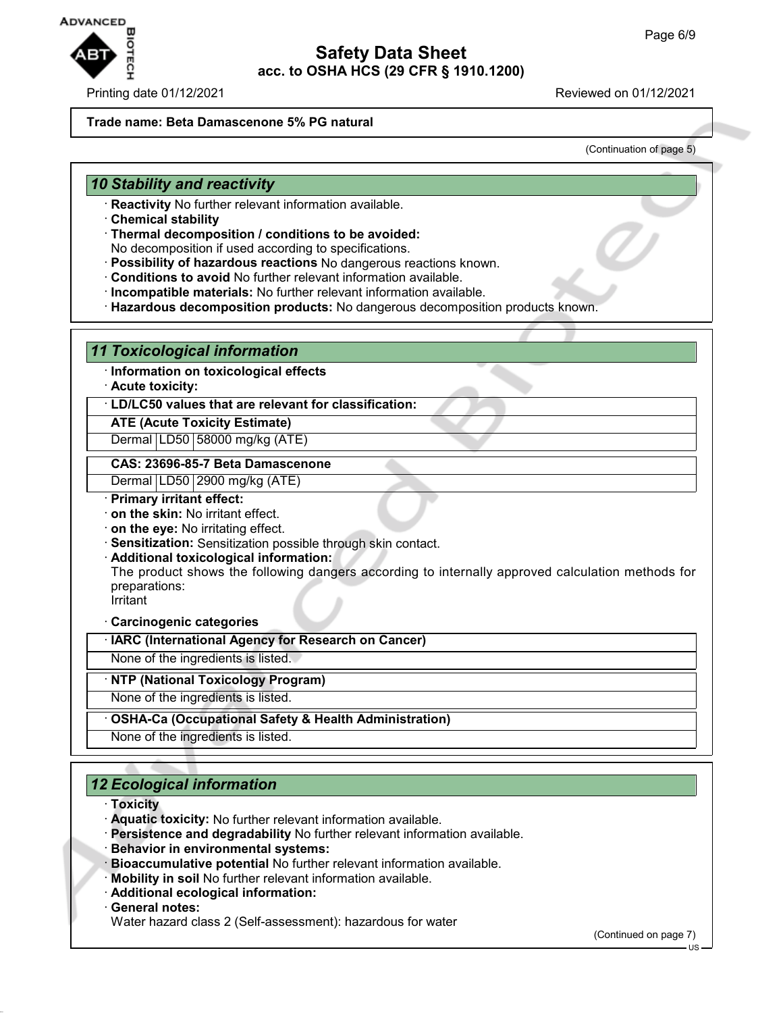

### Printing date 01/12/2021 Reviewed on 01/12/2021

## **Trade name: Beta Damascenone 5% PG natural**

(Continuation of page 5)

## *10 Stability and reactivity*

- · **Reactivity** No further relevant information available.
- · **Chemical stability**
- · **Thermal decomposition / conditions to be avoided:**
- No decomposition if used according to specifications.
- · **Possibility of hazardous reactions** No dangerous reactions known.
- · **Conditions to avoid** No further relevant information available.
- · **Incompatible materials:** No further relevant information available.
- · **Hazardous decomposition products:** No dangerous decomposition products known.

## *11 Toxicological information*

- · **Information on toxicological effects**
- · **Acute toxicity:**

· **LD/LC50 values that are relevant for classification:**

## **ATE (Acute Toxicity Estimate)**

Dermal LD50 58000 mg/kg (ATE)

### **CAS: 23696-85-7 Beta Damascenone**

Dermal LD50 2900 mg/kg (ATE)

- · **Primary irritant effect:**
- · **on the skin:** No irritant effect.
- · **on the eye:** No irritating effect.
- · **Sensitization:** Sensitization possible through skin contact.
- · **Additional toxicological information:**

The product shows the following dangers according to internally approved calculation methods for preparations:

Irritant

· **Carcinogenic categories**

· **IARC (International Agency for Research on Cancer)**

None of the ingredients is listed.

## · **NTP (National Toxicology Program)**

None of the ingredients is listed.

· **OSHA-Ca (Occupational Safety & Health Administration)**

None of the ingredients is listed.

## *12 Ecological information*

- · **Toxicity**
- · **Aquatic toxicity:** No further relevant information available.
- · **Persistence and degradability** No further relevant information available.
- · **Behavior in environmental systems:**
- · **Bioaccumulative potential** No further relevant information available.
- · **Mobility in soil** No further relevant information available.
- · **Additional ecological information:**

#### · **General notes:**

Water hazard class 2 (Self-assessment): hazardous for water

(Continued on page 7)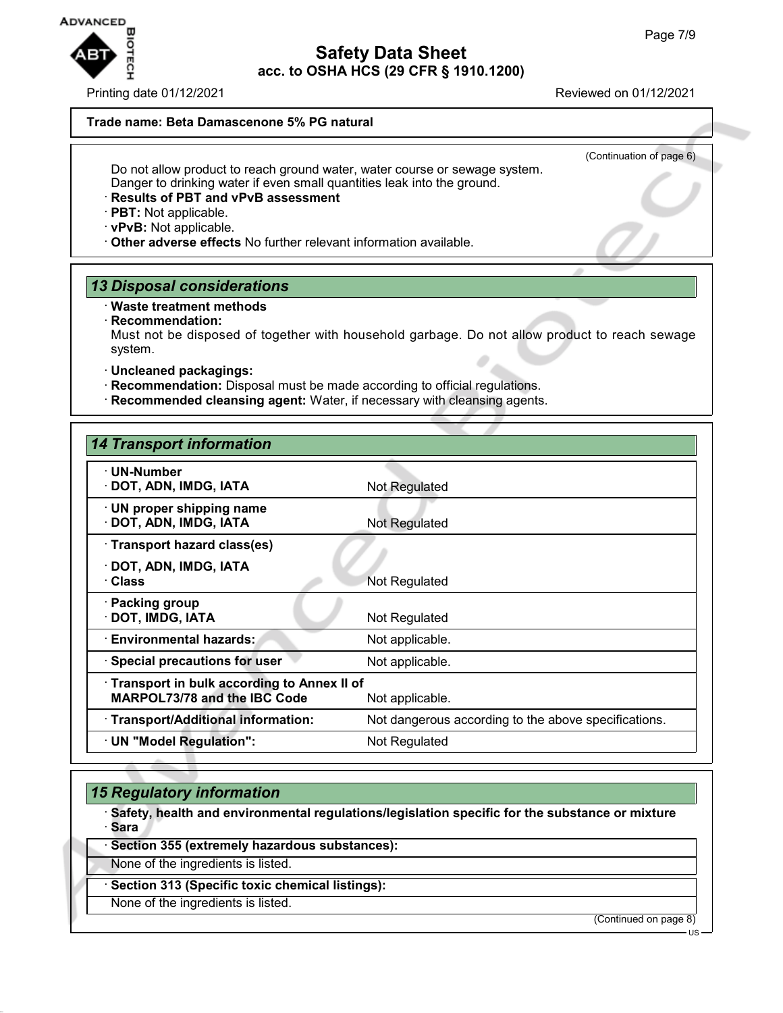

Printing date 01/12/2021 Reviewed on 01/12/2021

(Continuation of page 6)

### **Trade name: Beta Damascenone 5% PG natural**

Do not allow product to reach ground water, water course or sewage system. Danger to drinking water if even small quantities leak into the ground.

## · **Results of PBT and vPvB assessment**

- · **PBT:** Not applicable.
- · **vPvB:** Not applicable.
- · **Other adverse effects** No further relevant information available.

## *13 Disposal considerations*

## · **Waste treatment methods**

· **Recommendation:**

Must not be disposed of together with household garbage. Do not allow product to reach sewage system.

## · **Uncleaned packagings:**

- · **Recommendation:** Disposal must be made according to official regulations.
- · **Recommended cleansing agent:** Water, if necessary with cleansing agents.

| <b>14 Transport information</b>                                                   |                                                      |
|-----------------------------------------------------------------------------------|------------------------------------------------------|
| · UN-Number<br>· DOT, ADN, IMDG, IATA                                             | Not Regulated                                        |
| $\cdot$ UN proper shipping name<br>· DOT, ADN, IMDG, IATA                         | Not Regulated                                        |
| · Transport hazard class(es)                                                      |                                                      |
| · DOT, ADN, IMDG, IATA<br>· Class                                                 | Not Regulated                                        |
| · Packing group<br>· DOT, IMDG, IATA                                              | Not Regulated                                        |
| <b>Environmental hazards:</b>                                                     | Not applicable.                                      |
| · Special precautions for user                                                    | Not applicable.                                      |
| Transport in bulk according to Annex II of<br><b>MARPOL73/78 and the IBC Code</b> | Not applicable.                                      |
| · Transport/Additional information:                                               | Not dangerous according to the above specifications. |
| · UN "Model Regulation":                                                          | Not Regulated                                        |
|                                                                                   |                                                      |

## *15 Regulatory information*

· **Safety, health and environmental regulations/legislation specific for the substance or mixture** · **Sara**

## · **Section 355 (extremely hazardous substances):**

None of the ingredients is listed.

# · **Section 313 (Specific toxic chemical listings):**

None of the ingredients is listed.

(Continued on page 8)

US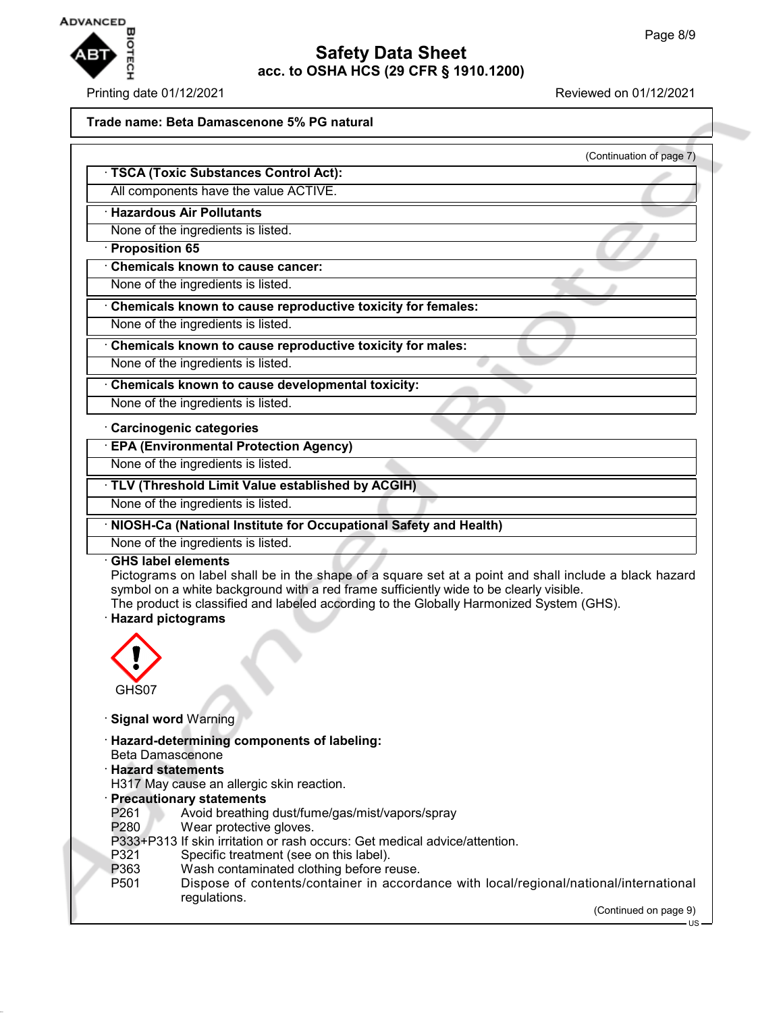

### Printing date 01/12/2021 Reviewed on 01/12/2021

(Continuation of page 7)

#### **Trade name: Beta Damascenone 5% PG natural**

· **TSCA (Toxic Substances Control Act):**

All components have the value ACTIVE.

· **Hazardous Air Pollutants**

None of the ingredients is listed.

#### · **Proposition 65**

· **Chemicals known to cause cancer:**

None of the ingredients is listed.

· **Chemicals known to cause reproductive toxicity for females:**

None of the ingredients is listed.

· **Chemicals known to cause reproductive toxicity for males:**

None of the ingredients is listed.

· **Chemicals known to cause developmental toxicity:**

None of the ingredients is listed.

#### · **Carcinogenic categories**

· **EPA (Environmental Protection Agency)**

None of the ingredients is listed.

· **TLV (Threshold Limit Value established by ACGIH)**

None of the ingredients is listed.

· **NIOSH-Ca (National Institute for Occupational Safety and Health)**

None of the ingredients is listed.

#### · **GHS label elements**

Pictograms on label shall be in the shape of a square set at a point and shall include a black hazard symbol on a white background with a red frame sufficiently wide to be clearly visible.

The product is classified and labeled according to the Globally Harmonized System (GHS).

## · **Hazard pictograms**



· **Signal word** Warning

- · **Hazard-determining components of labeling:**
- Beta Damascenone
- · **Hazard statements**
- H317 May cause an allergic skin reaction.
- · **Precautionary statements**
- P261 Avoid breathing dust/fume/gas/mist/vapors/spray

P280 Wear protective gloves.

- P333+P313 If skin irritation or rash occurs: Get medical advice/attention.
- P321 Specific treatment (see on this label).<br>P363 Wash contaminated clothing before re
- Wash contaminated clothing before reuse.
- P501 Dispose of contents/container in accordance with local/regional/national/international regulations.

(Continued on page 9)

 $H<sup>S</sup>$